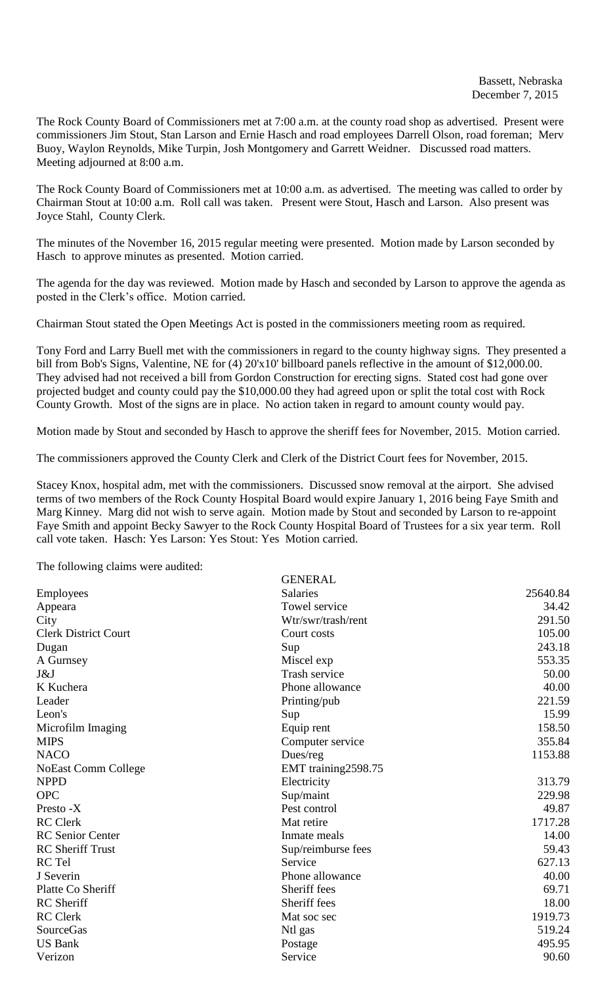The Rock County Board of Commissioners met at 7:00 a.m. at the county road shop as advertised. Present were commissioners Jim Stout, Stan Larson and Ernie Hasch and road employees Darrell Olson, road foreman; Merv Buoy, Waylon Reynolds, Mike Turpin, Josh Montgomery and Garrett Weidner. Discussed road matters. Meeting adjourned at 8:00 a.m.

The Rock County Board of Commissioners met at 10:00 a.m. as advertised. The meeting was called to order by Chairman Stout at 10:00 a.m. Roll call was taken. Present were Stout, Hasch and Larson. Also present was Joyce Stahl, County Clerk.

The minutes of the November 16, 2015 regular meeting were presented. Motion made by Larson seconded by Hasch to approve minutes as presented. Motion carried.

The agenda for the day was reviewed. Motion made by Hasch and seconded by Larson to approve the agenda as posted in the Clerk's office. Motion carried.

Chairman Stout stated the Open Meetings Act is posted in the commissioners meeting room as required.

Tony Ford and Larry Buell met with the commissioners in regard to the county highway signs. They presented a bill from Bob's Signs, Valentine, NE for (4) 20'x10' billboard panels reflective in the amount of \$12,000.00. They advised had not received a bill from Gordon Construction for erecting signs. Stated cost had gone over projected budget and county could pay the \$10,000.00 they had agreed upon or split the total cost with Rock County Growth. Most of the signs are in place. No action taken in regard to amount county would pay.

Motion made by Stout and seconded by Hasch to approve the sheriff fees for November, 2015. Motion carried.

The commissioners approved the County Clerk and Clerk of the District Court fees for November, 2015.

Stacey Knox, hospital adm, met with the commissioners. Discussed snow removal at the airport. She advised terms of two members of the Rock County Hospital Board would expire January 1, 2016 being Faye Smith and Marg Kinney. Marg did not wish to serve again. Motion made by Stout and seconded by Larson to re-appoint Faye Smith and appoint Becky Sawyer to the Rock County Hospital Board of Trustees for a six year term. Roll call vote taken. Hasch: Yes Larson: Yes Stout: Yes Motion carried.

The following claims were audited:

|                             | <b>GENERAL</b>       |          |
|-----------------------------|----------------------|----------|
| <b>Employees</b>            | <b>Salaries</b>      | 25640.84 |
| Appeara                     | Towel service        | 34.42    |
| City                        | Wtr/swr/trash/rent   | 291.50   |
| <b>Clerk District Court</b> | Court costs          | 105.00   |
| Dugan                       | Sup                  | 243.18   |
| A Gurnsey                   | Miscel exp           | 553.35   |
| J&J                         | <b>Trash service</b> | 50.00    |
| K Kuchera                   | Phone allowance      | 40.00    |
| Leader                      | Printing/pub         | 221.59   |
| Leon's                      | Sup                  | 15.99    |
| Microfilm Imaging           | Equip rent           | 158.50   |
| <b>MIPS</b>                 | Computer service     | 355.84   |
| <b>NACO</b>                 | Dues/reg             | 1153.88  |
| <b>NoEast Comm College</b>  | EMT training2598.75  |          |
| <b>NPPD</b>                 | Electricity          | 313.79   |
| <b>OPC</b>                  | Sup/maint            | 229.98   |
| Presto -X                   | Pest control         | 49.87    |
| <b>RC</b> Clerk             | Mat retire           | 1717.28  |
| <b>RC</b> Senior Center     | Inmate meals         | 14.00    |
| <b>RC</b> Sheriff Trust     | Sup/reimburse fees   | 59.43    |
| RC Tel                      | Service              | 627.13   |
| J Severin                   | Phone allowance      | 40.00    |
| Platte Co Sheriff           | Sheriff fees         | 69.71    |
| <b>RC</b> Sheriff           | Sheriff fees         | 18.00    |
| <b>RC</b> Clerk             | Mat soc sec          | 1919.73  |
| <b>SourceGas</b>            | Ntl gas              | 519.24   |
| <b>US Bank</b>              | Postage              | 495.95   |
| Verizon                     | Service              | 90.60    |